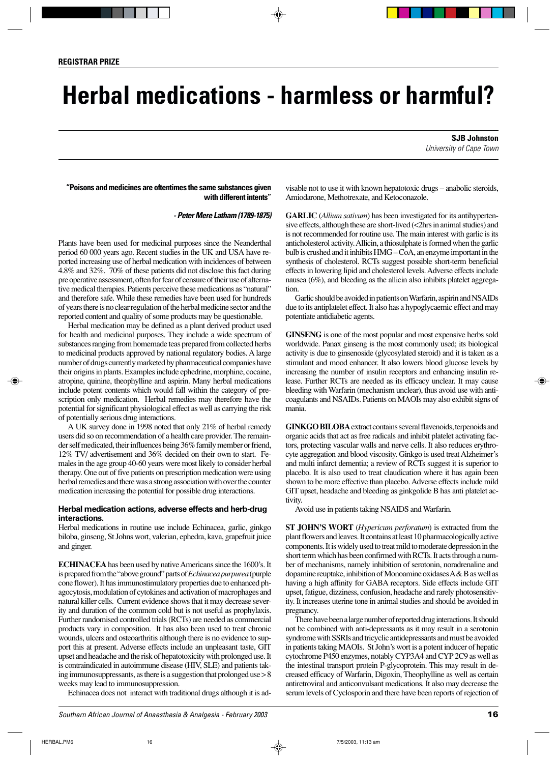natural killer cells. Current evidence shows that it may decrease severity and duration of the common cold but is not useful as prophylaxis. Further randomised controlled trials (RCTs) are needed as commercial products vary in composition. It has also been used to treat chronic wounds, ulcers and osteoarthritis although there is no evidence to support this at present. Adverse effects include an unpleasant taste, GIT upset and headache and the risk of hepatotoxicity with prolonged use. It is contraindicated in autoimmune disease (HIV, SLE) and patients taking immunosuppressants, as there is a suggestion that prolonged use > 8 weeks may lead to immunosuppression.

# **Herbal medications - harmless or harmful?**

**SJB Johnston** University of Cape Town

 **"Poisons and medicines are oftentimes the same substances given with different intents"**

**- Peter Mere Latham (1789-1875)**

Plants have been used for medicinal purposes since the Neanderthal period 60 000 years ago. Recent studies in the UK and USA have reported increasing use of herbal medication with incidences of between 4.8% and 32%. 70% of these patients did not disclose this fact during pre operative assessment, often for fear of censure of their use of alternative medical therapies. Patients perceive these medications as "natural" and therefore safe. While these remedies have been used for hundreds of years there is no clear regulation of the herbal medicine sector and the reported content and quality of some products may be questionable.

Herbal medication may be defined as a plant derived product used for health and medicinal purposes. They include a wide spectrum of substances ranging from homemade teas prepared from collected herbs to medicinal products approved by national regulatory bodies. A large number of drugs currently marketed by pharmaceutical companies have their origins in plants. Examples include ephedrine, morphine, cocaine, atropine, quinine, theophylline and aspirin. Many herbal medications include potent contents which would fall within the category of prescription only medication. Herbal remedies may therefore have the potential for significant physiological effect as well as carrying the risk of potentially serious drug interactions.

A UK survey done in 1998 noted that only 21% of herbal remedy users did so on recommendation of a health care provider. The remainder self medicated, their influences being 36% family member or friend, 12% TV/ advertisement and 36% decided on their own to start. Females in the age group 40-60 years were most likely to consider herbal therapy. One out of five patients on prescription medication were using herbal remedies and there was a strong association with over the counter medication increasing the potential for possible drug interactions.

## **Herbal medication actions, adverse effects and herb-drug interactions.**

Herbal medications in routine use include Echinacea, garlic, ginkgo biloba, ginseng, St Johns wort, valerian, ephedra, kava, grapefruit juice and ginger.

**ECHINACEA** has been used by native Americans since the 1600's. It is prepared from the "above ground" parts of *Echinacea purpurea*(purple cone flower). It has immunostimulatory properties due to enhanced phagocytosis, modulation of cytokines and activation of macrophages and

Echinacea does not interact with traditional drugs although it is ad-

visable not to use it with known hepatotoxic drugs – anabolic steroids, Amiodarone, Methotrexate, and Ketoconazole.

**GARLIC** (*Allium sativum*) has been investigated for its antihypertensive effects, although these are short-lived (<2hrs in animal studies) and is not recommended for routine use. The main interest with garlic is its anticholesterol activity. Allicin, a thiosulphate is formed when the garlic bulb is crushed and it inhibits HMG – CoA, an enzyme important in the synthesis of cholesterol. RCTs suggest possible short-term beneficial effects in lowering lipid and cholesterol levels. Adverse effects include nausea (6%), and bleeding as the allicin also inhibits platelet aggregation.

Garlic should be avoided in patients on Warfarin, aspirin and NSAIDs due to its antiplatelet effect. It also has a hypoglycaemic effect and may potentiate antidiabetic agents.

**GINSENG** is one of the most popular and most expensive herbs sold worldwide. Panax ginseng is the most commonly used; its biological activity is due to ginsenoside (glycosylated steroid) and it is taken as a stimulant and mood enhancer. It also lowers blood glucose levels by increasing the number of insulin receptors and enhancing insulin release. Further RCTs are needed as its efficacy unclear. It may cause bleeding with Warfarin (mechanism unclear), thus avoid use with anticoagulants and NSAIDs. Patients on MAOIs may also exhibit signs of mania.

**GINKGO BILOBA**extract contains several flavenoids, terpenoids and organic acids that act as free radicals and inhibit platelet activating factors, protecting vascular walls and nerve cells. It also reduces erythrocyte aggregation and blood viscosity. Ginkgo is used treat Alzheimer's and multi infarct dementia; a review of RCTs suggest it is superior to placebo. It is also used to treat claudication where it has again been shown to be more effective than placebo. Adverse effects include mild GIT upset, headache and bleeding as ginkgolide B has anti platelet activity.

Avoid use in patients taking NSAIDS and Warfarin.

**ST JOHN'S WORT** (*Hypericum perforatum*) is extracted from the plant flowers and leaves. It contains at least 10 pharmacologically active components. It is widely used to treat mild to moderate depression in the short term which has been confirmed with RCTs. It acts through a number of mechanisms, namely inhibition of serotonin, noradrenaline and dopamine reuptake, inhibition of Monoamine oxidases A & B as well as having a high affinity for GABA receptors. Side effects include GIT upset, fatigue, dizziness, confusion, headache and rarely photosensitivity. It increases uterine tone in animal studies and should be avoided in pregnancy.

There have been a large number of reported drug interactions. It should not be combined with anti-depressants as it may result in a serotonin syndrome with SSRIs and tricyclic antidepressants and must be avoided in patients taking MAOIs. St John's wort is a potent inducer of hepatic cytochrome P450 enzymes, notably CYP3A4 and CYP 2C9 as well as the intestinal transport protein P-glycoprotein. This may result in decreased efficacy of Warfarin, Digoxin, Theophylline as well as certain antiretroviral and anticonvulsant medications. It also may decrease the serum levels of Cyclosporin and there have been reports of rejection of